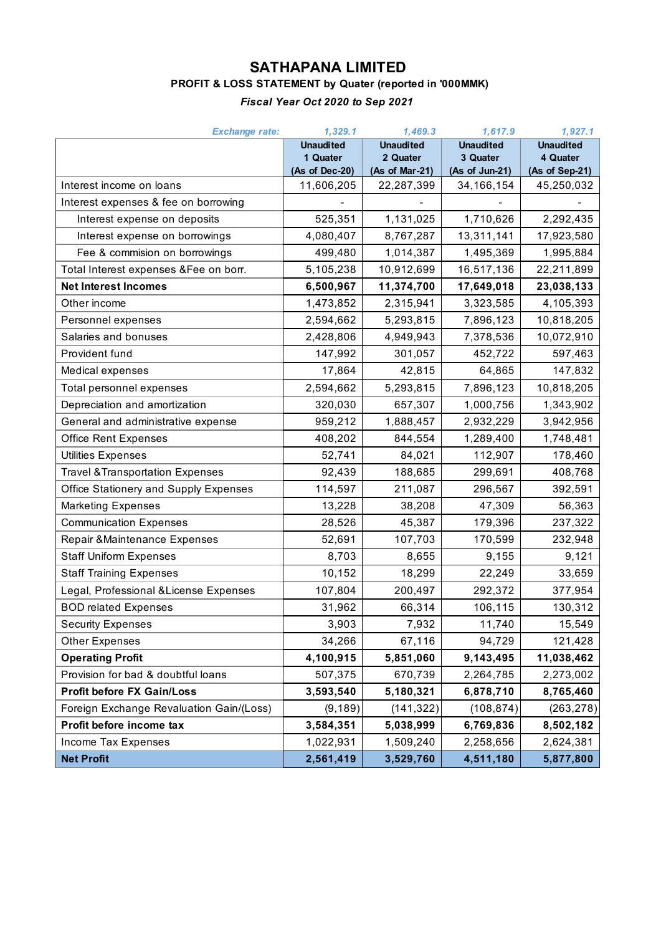## **SATHAPANA LIMITED**

## **PROFIT & LOSS STATEMENT by Quater (reported in '000MMK)**

#### *Fiscal Year Oct 2020 to Sep 2021*

| <b>Exchange rate:</b>                       | 1,329.1                    | 1,469.3                    | 1,617.9                    | 1,927.1                    |
|---------------------------------------------|----------------------------|----------------------------|----------------------------|----------------------------|
|                                             | <b>Unaudited</b>           | <b>Unaudited</b>           | <b>Unaudited</b>           | <b>Unaudited</b>           |
|                                             | 1 Quater<br>(As of Dec-20) | 2 Quater<br>(As of Mar-21) | 3 Quater<br>(As of Jun-21) | 4 Quater<br>(As of Sep-21) |
| Interest income on loans                    | 11,606,205                 | 22,287,399                 | 34, 166, 154               | 45,250,032                 |
| Interest expenses & fee on borrowing        |                            |                            |                            |                            |
| Interest expense on deposits                | 525,351                    | 1,131,025                  | 1,710,626                  | 2,292,435                  |
| Interest expense on borrowings              | 4,080,407                  | 8,767,287                  | 13,311,141                 | 17,923,580                 |
| Fee & commision on borrowings               | 499,480                    | 1,014,387                  | 1,495,369                  | 1,995,884                  |
| Total Interest expenses & Fee on borr.      | 5,105,238                  | 10,912,699                 | 16,517,136                 | 22,211,899                 |
| <b>Net Interest Incomes</b>                 | 6,500,967                  | 11,374,700                 | 17,649,018                 | 23,038,133                 |
| Other income                                | 1,473,852                  | 2,315,941                  | 3,323,585                  | 4,105,393                  |
| Personnel expenses                          | 2,594,662                  | 5,293,815                  | 7,896,123                  | 10,818,205                 |
| Salaries and bonuses                        | 2,428,806                  | 4,949,943                  | 7,378,536                  | 10,072,910                 |
| Provident fund                              | 147,992                    | 301,057                    | 452,722                    | 597,463                    |
| Medical expenses                            | 17,864                     | 42,815                     | 64,865                     | 147,832                    |
| Total personnel expenses                    | 2,594,662                  | 5,293,815                  | 7,896,123                  | 10,818,205                 |
| Depreciation and amortization               | 320,030                    | 657,307                    | 1,000,756                  | 1,343,902                  |
| General and administrative expense          | 959,212                    | 1,888,457                  | 2,932,229                  | 3,942,956                  |
| <b>Office Rent Expenses</b>                 | 408,202                    | 844,554                    | 1,289,400                  | 1,748,481                  |
| Utilities Expenses                          | 52,741                     | 84,021                     | 112,907                    | 178,460                    |
| <b>Travel &amp; Transportation Expenses</b> | 92,439                     | 188,685                    | 299,691                    | 408,768                    |
| Office Stationery and Supply Expenses       | 114,597                    | 211,087                    | 296,567                    | 392,591                    |
| <b>Marketing Expenses</b>                   | 13,228                     | 38,208                     | 47,309                     | 56,363                     |
| <b>Communication Expenses</b>               | 28,526                     | 45,387                     | 179,396                    | 237,322                    |
| Repair & Maintenance Expenses               | 52,691                     | 107,703                    | 170,599                    | 232,948                    |
| <b>Staff Uniform Expenses</b>               | 8,703                      | 8,655                      | 9,155                      | 9,121                      |
| <b>Staff Training Expenses</b>              | 10,152                     | 18,299                     | 22,249                     | 33,659                     |
| Legal, Professional & License Expenses      | 107,804                    | 200,497                    | 292,372                    | 377,954                    |
| <b>BOD related Expenses</b>                 | 31,962                     | 66,314                     | 106,115                    | 130,312                    |
| <b>Security Expenses</b>                    | 3,903                      | 7,932                      | 11,740                     | 15,549                     |
| <b>Other Expenses</b>                       | 34,266                     | 67,116                     | 94,729                     | 121,428                    |
| <b>Operating Profit</b>                     | 4,100,915                  | 5,851,060                  | 9,143,495                  | 11,038,462                 |
| Provision for bad & doubtful loans          | 507,375                    | 670,739                    | 2,264,785                  | 2,273,002                  |
| <b>Profit before FX Gain/Loss</b>           | 3,593,540                  | 5,180,321                  | 6,878,710                  | 8,765,460                  |
| Foreign Exchange Revaluation Gain/(Loss)    | (9, 189)                   | (141, 322)                 | (108, 874)                 | (263, 278)                 |
| Profit before income tax                    | 3,584,351                  | 5,038,999                  | 6,769,836                  | 8,502,182                  |
| Income Tax Expenses                         | 1,022,931                  | 1,509,240                  | 2,258,656                  | 2,624,381                  |
| <b>Net Profit</b>                           | 2,561,419                  | 3,529,760                  | 4,511,180                  | 5,877,800                  |